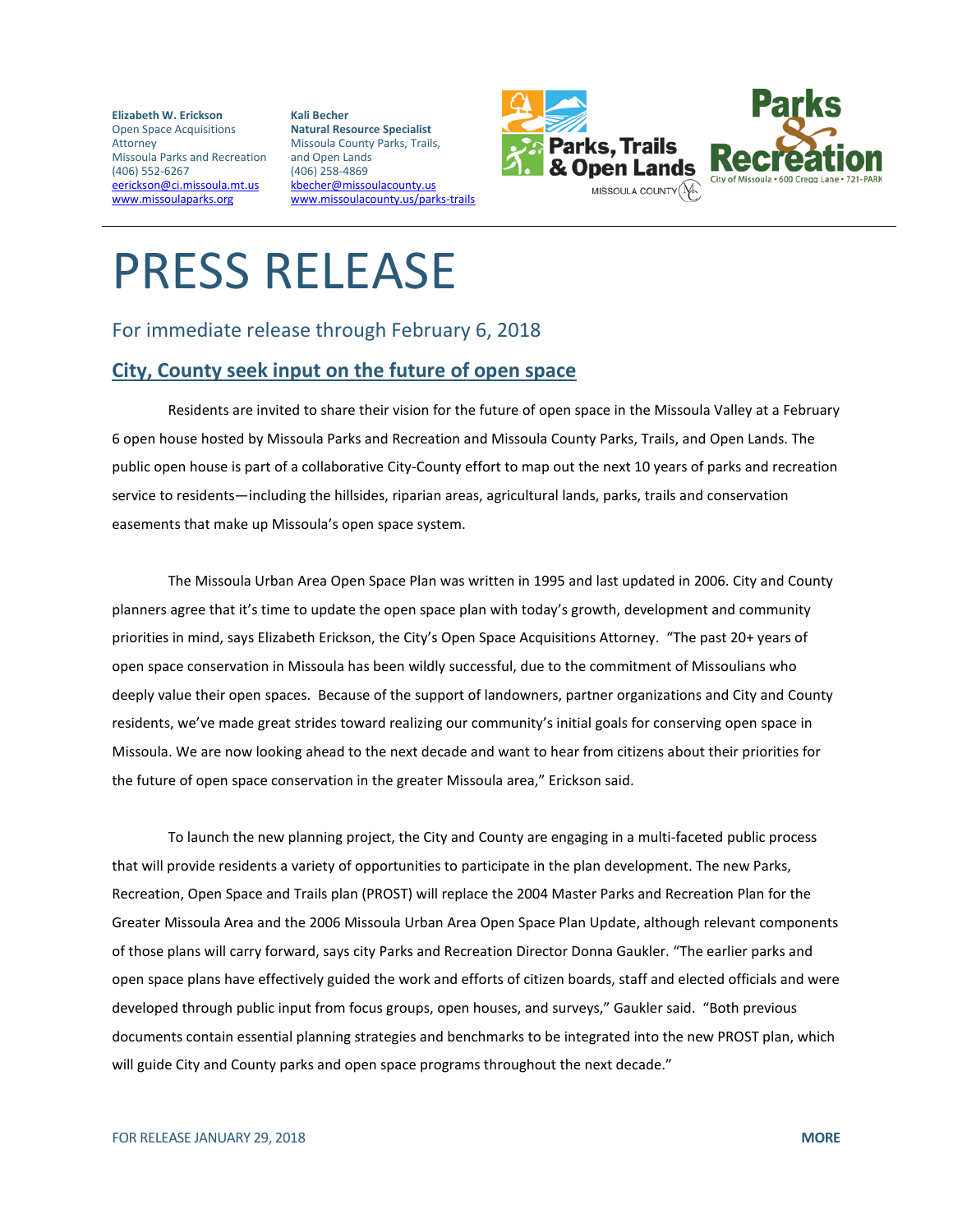**Elizabeth W. Erickson** Open Space Acquisitions Attorney Missoula Parks and Recreation (406) 552-6267 [eerickson@ci.missoula.mt.us](mailto:eerickson@ci.missoula.mt.us) [www.missoulaparks.org](http://www.missoulaparks.org/)

**Kali Becher Natural Resource Specialist** Missoula County Parks, Trails, and Open Lands (406) 258-4869 [kbecher@missoulacounty.us](mailto:kbecher@missoulacounty.us) [www.missoulacounty.us/parks-trails](http://www.missoulacounty.us/parks-trails)



## PRESS RELEASE

## For immediate release through February 6, 2018

## **City, County seek input on the future of open space**

Residents are invited to share their vision for the future of open space in the Missoula Valley at a February 6 open house hosted by Missoula Parks and Recreation and Missoula County Parks, Trails, and Open Lands. The public open house is part of a collaborative City-County effort to map out the next 10 years of parks and recreation service to residents—including the hillsides, riparian areas, agricultural lands, parks, trails and conservation easements that make up Missoula's open space system.

The Missoula Urban Area Open Space Plan was written in 1995 and last updated in 2006. City and County planners agree that it's time to update the open space plan with today's growth, development and community priorities in mind, says Elizabeth Erickson, the City's Open Space Acquisitions Attorney. "The past 20+ years of open space conservation in Missoula has been wildly successful, due to the commitment of Missoulians who deeply value their open spaces. Because of the support of landowners, partner organizations and City and County residents, we've made great strides toward realizing our community's initial goals for conserving open space in Missoula. We are now looking ahead to the next decade and want to hear from citizens about their priorities for the future of open space conservation in the greater Missoula area," Erickson said.

To launch the new planning project, the City and County are engaging in a multi-faceted public process that will provide residents a variety of opportunities to participate in the plan development. The new Parks, Recreation, Open Space and Trails plan (PROST) will replace the 2004 Master Parks and Recreation Plan for the Greater Missoula Area and the 2006 Missoula Urban Area Open Space Plan Update, although relevant components of those plans will carry forward, says city Parks and Recreation Director Donna Gaukler. "The earlier parks and open space plans have effectively guided the work and efforts of citizen boards, staff and elected officials and were developed through public input from focus groups, open houses, and surveys," Gaukler said. "Both previous documents contain essential planning strategies and benchmarks to be integrated into the new PROST plan, which will guide City and County parks and open space programs throughout the next decade."